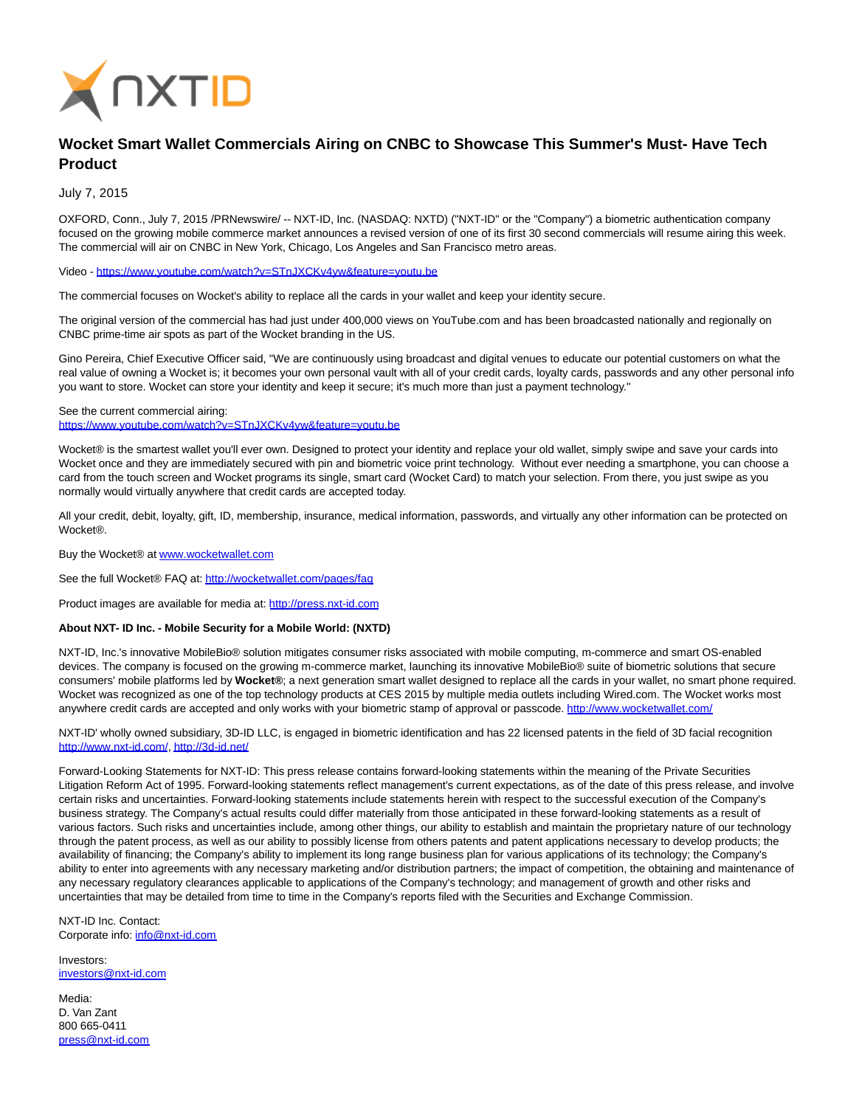

## **Wocket Smart Wallet Commercials Airing on CNBC to Showcase This Summer's Must- Have Tech Product**

July 7, 2015

OXFORD, Conn., July 7, 2015 /PRNewswire/ -- NXT-ID, Inc. (NASDAQ: NXTD) ("NXT-ID" or the "Company") a biometric authentication company focused on the growing mobile commerce market announces a revised version of one of its first 30 second commercials will resume airing this week. The commercial will air on CNBC in New York, Chicago, Los Angeles and San Francisco metro areas.

Video [- https://www.youtube.com/watch?v=STnJXCKv4yw&feature=youtu.be](https://www.youtube.com/watch?v=STnJXCKv4yw&feature=youtu.be)

The commercial focuses on Wocket's ability to replace all the cards in your wallet and keep your identity secure.

The original version of the commercial has had just under 400,000 views on YouTube.com and has been broadcasted nationally and regionally on CNBC prime-time air spots as part of the Wocket branding in the US.

Gino Pereira, Chief Executive Officer said, "We are continuously using broadcast and digital venues to educate our potential customers on what the real value of owning a Wocket is; it becomes your own personal vault with all of your credit cards, loyalty cards, passwords and any other personal info you want to store. Wocket can store your identity and keep it secure; it's much more than just a payment technology."

See the current commercial airing: <https://www.youtube.com/watch?v=STnJXCKv4yw&feature=youtu.be>

Wocket® is the smartest wallet you'll ever own. Designed to protect your identity and replace your old wallet, simply swipe and save your cards into Wocket once and they are immediately secured with pin and biometric voice print technology. Without ever needing a smartphone, you can choose a card from the touch screen and Wocket programs its single, smart card (Wocket Card) to match your selection. From there, you just swipe as you normally would virtually anywhere that credit cards are accepted today.

All your credit, debit, loyalty, gift, ID, membership, insurance, medical information, passwords, and virtually any other information can be protected on **Wocket®** 

Buy the Wocket® a[t www.wocketwallet.com](http://www.wocketwallet.com/)

See the full Wocket® FAQ at:<http://wocketwallet.com/pages/faq>

Product images are available for media at: [http://press.nxt-id.com](http://press.nxt-id.com/)

## **About NXT- ID Inc. - Mobile Security for a Mobile World: (NXTD)**

NXT-ID, Inc.'s innovative MobileBio® solution mitigates consumer risks associated with mobile computing, m-commerce and smart OS-enabled devices. The company is focused on the growing m-commerce market, launching its innovative MobileBio® suite of biometric solutions that secure consumers' mobile platforms led by **Wocket®**; a next generation smart wallet designed to replace all the cards in your wallet, no smart phone required. Wocket was recognized as one of the top technology products at CES 2015 by multiple media outlets including Wired.com. The Wocket works most anywhere credit cards are accepted and only works with your biometric stamp of approval or passcode.<http://www.wocketwallet.com/>

NXT-ID' wholly owned subsidiary, 3D-ID LLC, is engaged in biometric identification and has 22 licensed patents in the field of 3D facial recognition [http://www.nxt-id.com/,](http://www.nxt-id.com/)<http://3d-id.net/>

Forward-Looking Statements for NXT-ID: This press release contains forward-looking statements within the meaning of the Private Securities Litigation Reform Act of 1995. Forward-looking statements reflect management's current expectations, as of the date of this press release, and involve certain risks and uncertainties. Forward-looking statements include statements herein with respect to the successful execution of the Company's business strategy. The Company's actual results could differ materially from those anticipated in these forward-looking statements as a result of various factors. Such risks and uncertainties include, among other things, our ability to establish and maintain the proprietary nature of our technology through the patent process, as well as our ability to possibly license from others patents and patent applications necessary to develop products; the availability of financing; the Company's ability to implement its long range business plan for various applications of its technology; the Company's ability to enter into agreements with any necessary marketing and/or distribution partners; the impact of competition, the obtaining and maintenance of any necessary regulatory clearances applicable to applications of the Company's technology; and management of growth and other risks and uncertainties that may be detailed from time to time in the Company's reports filed with the Securities and Exchange Commission.

NXT-ID Inc. Contact: Corporate info: [info@nxt-id.com](mailto:info@nxt-id.com)

Investors: [investors@nxt-id.com](mailto:investors@nxt-id.com)

Media: D. Van Zant 800 665-0411 [press@nxt-id.com](mailto:press@nxt-id.com)